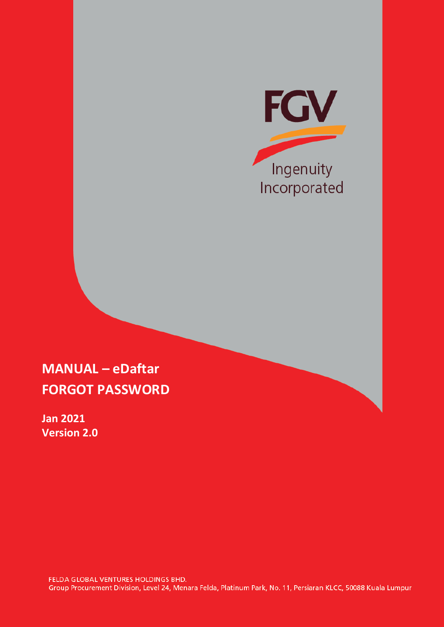

## **MANUAL – eDaftar FORGOT PASSWORD**

**Jan 2021 Version 2.0**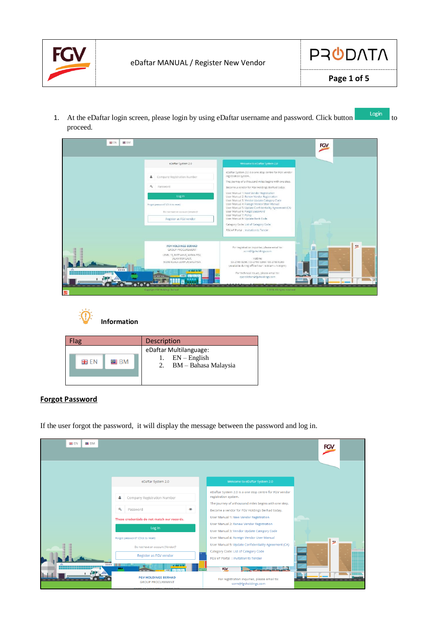



1. At the eDaftar login screen, please login by using eDaftar username and password. Click button proceed.







## **Forgot Password**

If the user forgot the password, it will display the message between the password and log in.

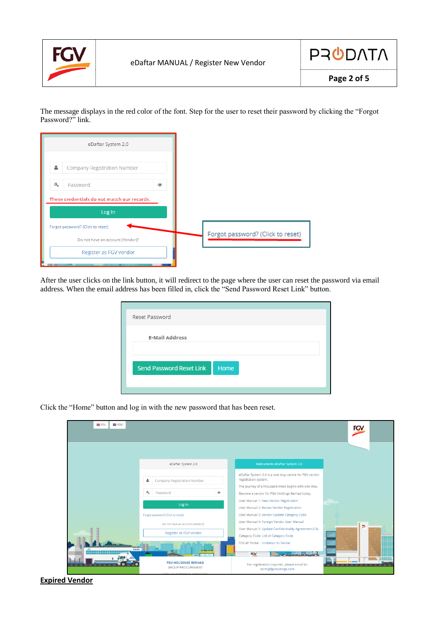



The message displays in the red color of the font. Step for the user to reset their password by clicking the "Forgot Password?" link.



After the user clicks on the link button, it will redirect to the page where the user can reset the password via email address. When the email address has been filled in, click the "Send Password Reset Link" button.

| Reset Password                  |      |
|---------------------------------|------|
|                                 |      |
| <b>E-Mail Address</b>           |      |
|                                 |      |
|                                 |      |
| <b>Send Password Reset Link</b> | Home |
|                                 |      |
|                                 |      |

Click the "Home" button and log in with the new password that has been reset.

| <b>HB</b> EN<br>SE BM                                                 |                                                                       | <b>FGV</b>                                                                                                                                              |
|-----------------------------------------------------------------------|-----------------------------------------------------------------------|---------------------------------------------------------------------------------------------------------------------------------------------------------|
|                                                                       |                                                                       |                                                                                                                                                         |
|                                                                       | eDaftar System 2.0<br>Δ<br>Company Registration Number                | Welcome to eDaftar System 2.0<br>eDaftar System 2.0 is a one stop centre for FGV vendor<br>registration system.                                         |
|                                                                       | a.<br>Password<br>$\circledcirc$<br>Log In                            | The journey of a thousand miles begins with one step.<br>Become a vendor for FGV Holdings Berhad today.<br>User Manual 1: New Vendor Registration       |
| Forgot password? (Click to reset)<br>Do not have an account (Vendor)? |                                                                       | User Manual 2: Renew Vendor Registration<br>User Manual 3: Vendor Update Category Code<br>User Manual 4: Foreign Vendor User Manual                     |
|                                                                       | Register as FGV vendor                                                | R(X)<br>User Manual 5: Update Confidentiality Agreement (CA)<br>1111111<br>Category Code: List of Category Code<br>FGV eP Portal : Invitation to Tender |
|                                                                       | <b>BILA</b><br><b>FGV HOLDINGS BERHAD</b><br><b>GROUP PROCUREMENT</b> | الأورس التلقيمي<br><b>FGV</b><br>For registration inquiries, please email to:<br>scrm@fgvholdings.com                                                   |

**Expired Vendor**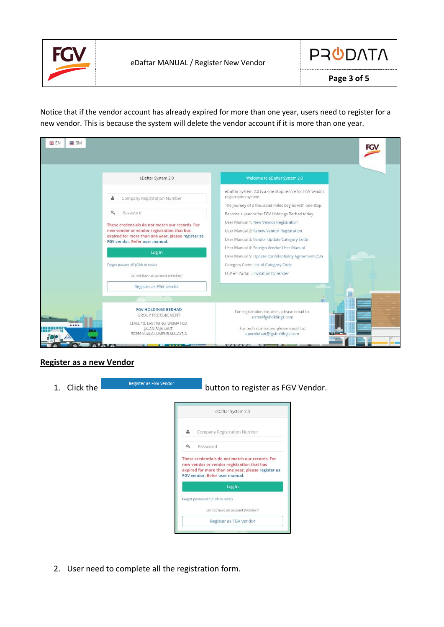



Notice that if the vendor account has already expired for more than one year, users need to register for a new vendor. This is because the system will delete the vendor account if it is more than one year.

| <b>E</b> BM<br><b>BB</b> EN      |                                                                                                                                                                                                                                                                                                                                                                 |                                                                                                                                                                                                                                                                                                                                                                                                                                                                                                                    | FGV |  |
|----------------------------------|-----------------------------------------------------------------------------------------------------------------------------------------------------------------------------------------------------------------------------------------------------------------------------------------------------------------------------------------------------------------|--------------------------------------------------------------------------------------------------------------------------------------------------------------------------------------------------------------------------------------------------------------------------------------------------------------------------------------------------------------------------------------------------------------------------------------------------------------------------------------------------------------------|-----|--|
|                                  | eDaftar System 2.0                                                                                                                                                                                                                                                                                                                                              | Welcome to eDaftar System 2.0                                                                                                                                                                                                                                                                                                                                                                                                                                                                                      |     |  |
|                                  | Company Registration Number<br>$a_{\epsilon}$<br>Password<br>These credentials do not match our records. For<br>new vendor or vendor registration that has<br>expired for more than one year, please register as<br>FGV vendor. Refer user manual.<br>Log In<br>Forgot password? (Click to reset)<br>Do not have an account (Vendor)?<br>Register as FGV vendor | eDaftar System 2.0 is a one stop centre for FGV vendor<br>registration system.<br>The journey of a thousand miles begins with one step.<br>Become a vendor for FGV Holdings Berhad today.<br>User Manual 1: New Vendor Registration<br>User Manual 2: Renew Vendor Registration<br>User Manual 3: Vendor Update Category Code<br>User Manual 4: Foreign Vendor User Manual<br>User Manual 5: Update Confidentiality Agreement (CA)<br>Category Code: List of Category Code<br>FGV eP Portal : Invitation to Tender |     |  |
| ----<br><b>GER A</b><br>$\omega$ | <b>FGV HOLDINGS BERHAD</b><br><b>GROUP PROCUREMENT</b><br>LEVEL 13, EAST WING, WISMA FGV,<br>JALAN RAJA LAUT,<br>50350 KUALA LUMPUR, MALAYSIA<br>                                                                                                                                                                                                               | m<br>For registration inquiries, please email to:<br>scrm@fgvholdings.com<br>For technical issues, please email to:<br>eperolehan@fgvholdings.com<br>32 23 33 24 33 25                                                                                                                                                                                                                                                                                                                                             |     |  |

## **Register as a new Vendor**

| 1. Click the | Register as FGV vendor | button to register as FGV Vendor.                                                                                                                                                     |
|--------------|------------------------|---------------------------------------------------------------------------------------------------------------------------------------------------------------------------------------|
|              |                        | eDaftar System 2.0                                                                                                                                                                    |
|              | å                      | Company Registration Number                                                                                                                                                           |
|              | a.                     | Password                                                                                                                                                                              |
|              |                        | These credentials do not match our records. For<br>new vendor or vendor registration that has<br>expired for more than one year, please register as<br>FGV vendor. Refer user manual. |
|              |                        | Log In                                                                                                                                                                                |
|              |                        | Forgot password? (Click to reset)                                                                                                                                                     |
|              |                        | Do not have an account (Vendor)?                                                                                                                                                      |
|              |                        | Register as FGV vendor                                                                                                                                                                |

2. User need to complete all the registration form.